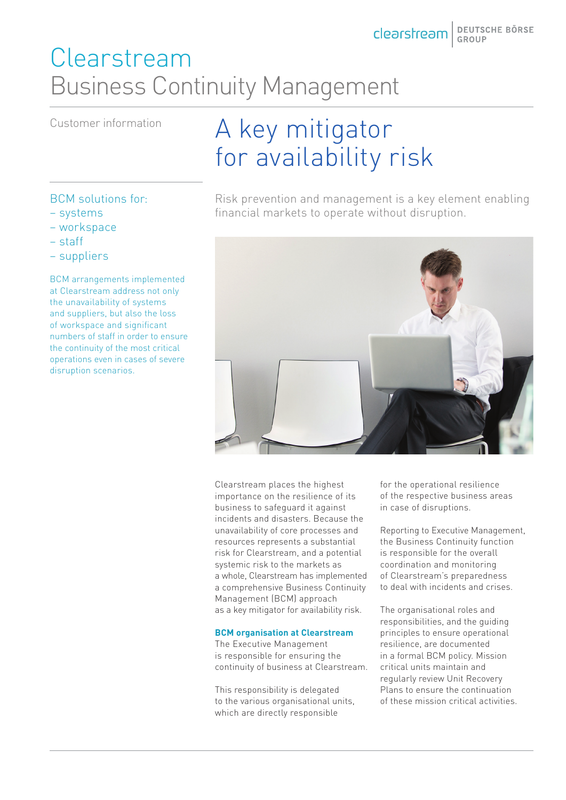# Clearstream Business Continuity Management

# Customer information A key mitigator for availability risk

Risk prevention and management is a key element enabling financial markets to operate without disruption.



Clearstream places the highest importance on the resilience of its business to safeguard it against incidents and disasters. Because the unavailability of core processes and resources represents a substantial risk for Clearstream, and a potential systemic risk to the markets as a whole, Clearstream has implemented a comprehensive Business Continuity Management (BCM) approach as a key mitigator for availability risk.

#### **BCM organisation at Clearstream**

The Executive Management is responsible for ensuring the continuity of business at Clearstream.

This responsibility is delegated to the various organisational units, which are directly responsible

for the operational resilience of the respective business areas in case of disruptions.

Reporting to Executive Management, the Business Continuity function is responsible for the overall coordination and monitoring of Clearstream's preparedness to deal with incidents and crises.

The organisational roles and responsibilities, and the guiding principles to ensure operational resilience, are documented in a formal BCM policy. Mission critical units maintain and regularly review Unit Recovery Plans to ensure the continuation of these mission critical activities.

### BCM solutions for:

- systems
- workspace
- staff
- suppliers

BCM arrangements implemented at Clearstream address not only the unavailability of systems and suppliers, but also the loss of workspace and significant numbers of staff in order to ensure the continuity of the most critical operations even in cases of severe disruption scenarios.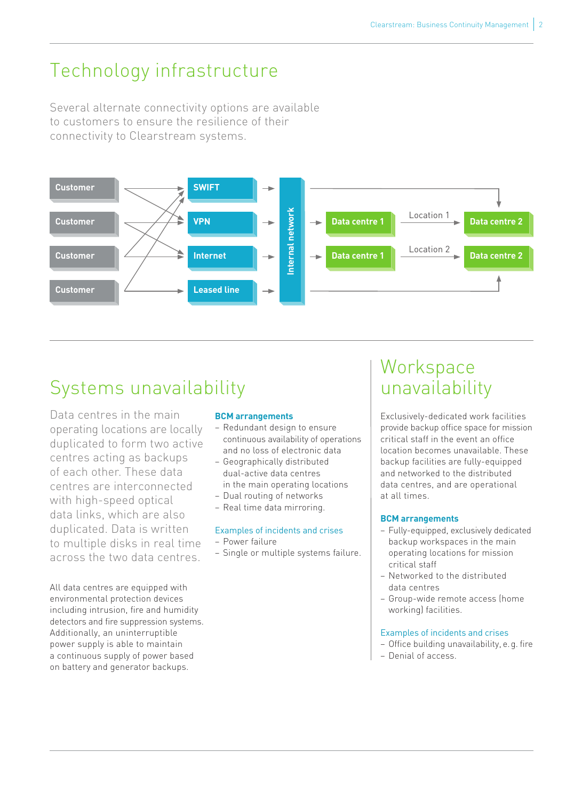### Technology infrastructure

Several alternate connectivity options are available to customers to ensure the resilience of their connectivity to Clearstream systems.



## Systems unavailability

Data centres in the main operating locations are locally duplicated to form two active centres acting as backups of each other. These data centres are interconnected with high-speed optical data links, which are also duplicated. Data is written to multiple disks in real time across the two data centres.

All data centres are equipped with environmental protection devices including intrusion, fire and humidity detectors and fire suppression systems. Additionally, an uninterruptible power supply is able to maintain a continuous supply of power based on battery and generator backups.

### **BCM arrangements**

- Redundant design to ensure continuous availability of operations and no loss of electronic data
- Geographically distributed dual-active data centres in the main operating locations
- Dual routing of networks
- Real time data mirroring.

### Examples of incidents and crises

- Power failure
- Single or multiple systems failure.

### **Workspace** unavailability

Exclusively-dedicated work facilities provide backup office space for mission critical staff in the event an office location becomes unavailable. These backup facilities are fully-equipped and networked to the distributed data centres, and are operational at all times.

### **BCM arrangements**

- Fully-equipped, exclusively dedicated backup workspaces in the main operating locations for mission critical staff
- Networked to the distributed data centres
- Group-wide remote access (home working) facilities.

### Examples of incidents and crises

- Office building unavailability, e.g. fire
- Denial of access.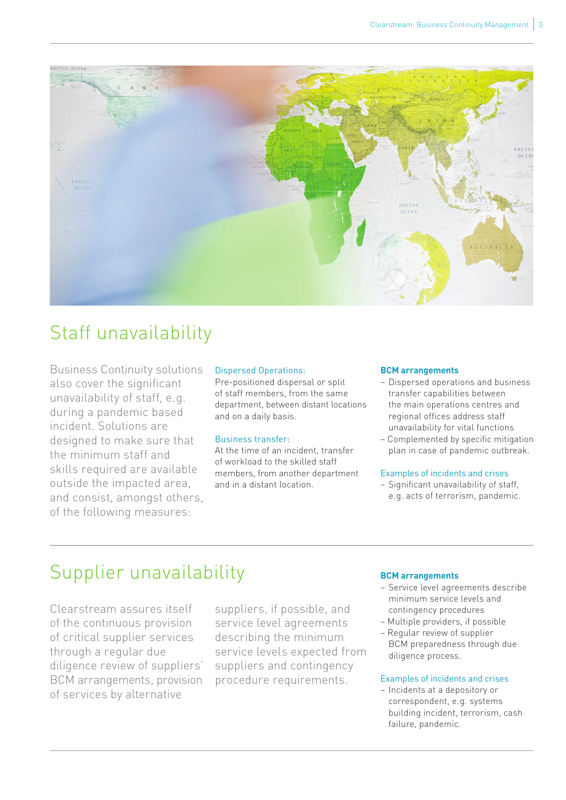

### Staff unavailability

Business Continuity solutions also cover the significant unavailability of staff, e.g. during a pandemic based incident. Solutions are designed to make sure that the minimum staff and skills required are available outside the impacted area, and consist, amongst others, of the following measures:

#### Dispersed Operations:

Pre-positioned dispersal or split of staff members, from the same department, between distant locations and on a daily basis.

#### Business transfer:

At the time of an incident, transfer of workload to the skilled staff members, from another department and in a distant location.

#### **BCM arrangements**

- Dispersed operations and business transfer capabilities between the main operations centres and regional offices address staff unavailability for vital functions
- Complemented by specific mitigation plan in case of pandemic outbreak.

#### Examples of incidents and crises

– Significant unavailability of staff, e.g. acts of terrorism, pandemic.

### Supplier unavailability

Clearstream assures itself of the continuous provision of critical supplier services through a regular due diligence review of suppliers' BCM arrangements, provision of services by alternative

suppliers, if possible, and service level agreements describing the minimum service levels expected from suppliers and contingency procedure requirements.

#### **BCM arrangements**

- Service level agreements describe minimum service levels and contingency procedures
- Multiple providers, if possible
- Regular review of supplier BCM preparedness through due diligence process.

#### Examples of incidents and crises

– Incidents at a depository or correspondent, e.g. systems building incident, terrorism, cash failure, pandemic.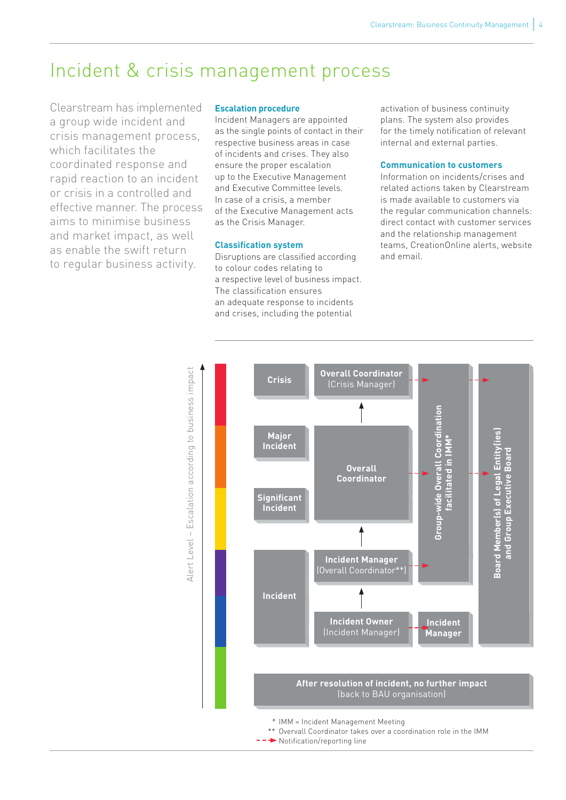### Incident & crisis management process

Clearstream has implemented a group wide incident and crisis management process, which facilitates the coordinated response and rapid reaction to an incident or crisis in a controlled and effective manner. The process aims to minimise business and market impact, as well as enable the swift return to regular business activity.

#### **Escalation procedure**

Incident Managers are appointed as the single points of contact in their respective business areas in case of incidents and crises. They also ensure the proper escalation up to the Executive Management and Executive Committee levels. In case of a crisis, a member of the Executive Management acts as the Crisis Manager.

#### **Classification system**

Disruptions are classified according to colour codes relating to a respective level of business impact. The classification ensures an adequate response to incidents and crises, including the potential

activation of business continuity plans. The system also provides for the timely notification of relevant internal and external parties.

#### **Communication to customers**

Information on incidents/crises and related actions taken by Clearstream is made available to customers via the regular communication channels: direct contact with customer services and the relationship management teams, CreationOnline alerts, website and email.